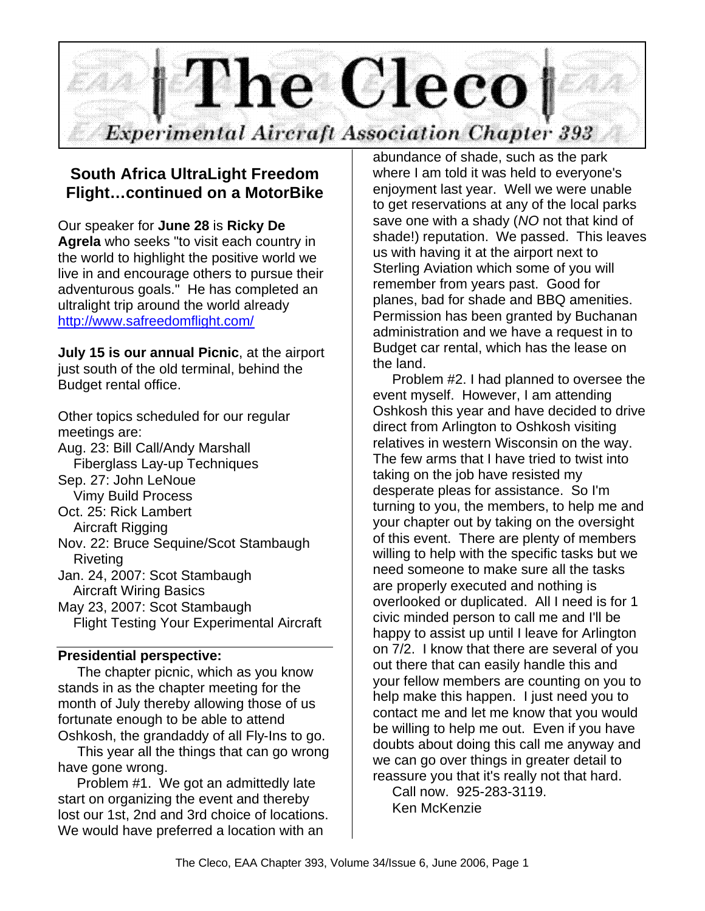

# **South Africa UltraLight Freedom Flight…continued on a MotorBike**

Our speaker for **June 28** is **Ricky De Agrela** who seeks "to visit each country in the world to highlight the positive world we live in and encourage others to pursue their adventurous goals." He has completed an ultralight trip around the world already http://www.safreedomflight.com/

**July 15 is our annual Picnic**, at the airport just south of the old terminal, behind the Budget rental office.

Other topics scheduled for our regular meetings are: Aug. 23: Bill Call/Andy Marshall Fiberglass Lay-up Techniques Sep. 27: John LeNoue Vimy Build Process Oct. 25: Rick Lambert Aircraft Rigging Nov. 22: Bruce Sequine/Scot Stambaugh Riveting Jan. 24, 2007: Scot Stambaugh Aircraft Wiring Basics May 23, 2007: Scot Stambaugh Flight Testing Your Experimental Aircraft

## **Presidential perspective:**

 The chapter picnic, which as you know stands in as the chapter meeting for the month of July thereby allowing those of us fortunate enough to be able to attend Oshkosh, the grandaddy of all Fly-Ins to go.

 This year all the things that can go wrong have gone wrong.

 Problem #1. We got an admittedly late start on organizing the event and thereby lost our 1st, 2nd and 3rd choice of locations. We would have preferred a location with an

abundance of shade, such as the park where I am told it was held to everyone's enjoyment last year. Well we were unable to get reservations at any of the local parks save one with a shady (*NO* not that kind of shade!) reputation. We passed. This leaves us with having it at the airport next to Sterling Aviation which some of you will remember from years past. Good for planes, bad for shade and BBQ amenities. Permission has been granted by Buchanan administration and we have a request in to Budget car rental, which has the lease on the land.

 Problem #2. I had planned to oversee the event myself. However, I am attending Oshkosh this year and have decided to drive direct from Arlington to Oshkosh visiting relatives in western Wisconsin on the way. The few arms that I have tried to twist into taking on the job have resisted my desperate pleas for assistance. So I'm turning to you, the members, to help me and your chapter out by taking on the oversight of this event. There are plenty of members willing to help with the specific tasks but we need someone to make sure all the tasks are properly executed and nothing is overlooked or duplicated. All I need is for 1 civic minded person to call me and I'll be happy to assist up until I leave for Arlington on 7/2. I know that there are several of you out there that can easily handle this and your fellow members are counting on you to help make this happen. I just need you to contact me and let me know that you would be willing to help me out. Even if you have doubts about doing this call me anyway and we can go over things in greater detail to reassure you that it's really not that hard.

 Call now. 925-283-3119. Ken McKenzie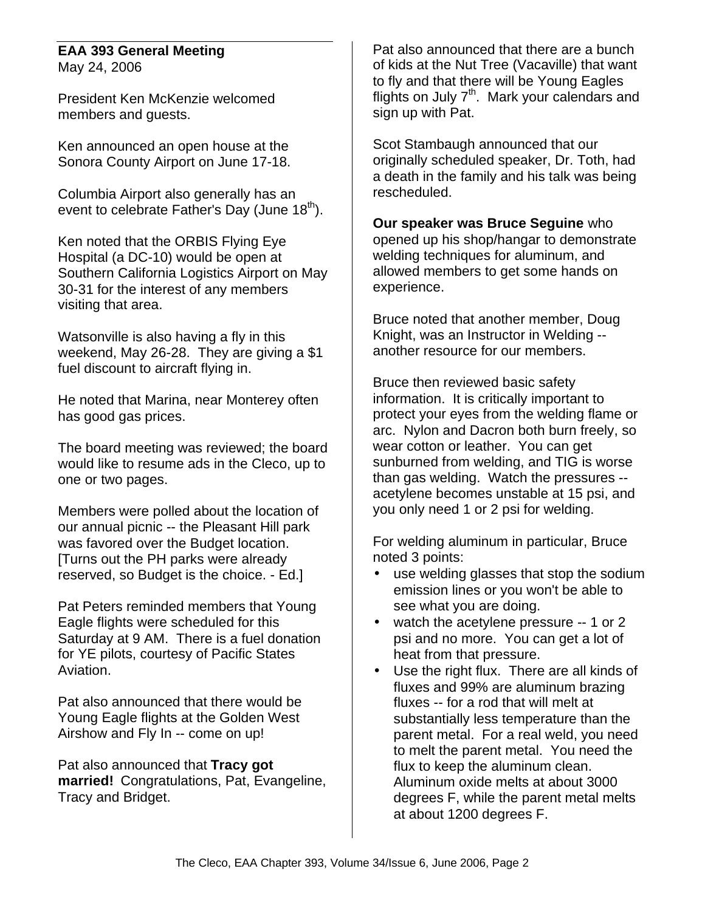### **EAA 393 General Meeting** May 24, 2006

President Ken McKenzie welcomed members and guests.

Ken announced an open house at the Sonora County Airport on June 17-18.

Columbia Airport also generally has an event to celebrate Father's Day (June  $18<sup>th</sup>$ ).

Ken noted that the ORBIS Flying Eye Hospital (a DC-10) would be open at Southern California Logistics Airport on May 30-31 for the interest of any members visiting that area.

Watsonville is also having a fly in this weekend, May 26-28. They are giving a \$1 fuel discount to aircraft flying in.

He noted that Marina, near Monterey often has good gas prices.

The board meeting was reviewed; the board would like to resume ads in the Cleco, up to one or two pages.

Members were polled about the location of our annual picnic -- the Pleasant Hill park was favored over the Budget location. [Turns out the PH parks were already reserved, so Budget is the choice. - Ed.]

Pat Peters reminded members that Young Eagle flights were scheduled for this Saturday at 9 AM. There is a fuel donation for YE pilots, courtesy of Pacific States Aviation.

Pat also announced that there would be Young Eagle flights at the Golden West Airshow and Fly In -- come on up!

Pat also announced that **Tracy got married!** Congratulations, Pat, Evangeline, Tracy and Bridget.

Pat also announced that there are a bunch of kids at the Nut Tree (Vacaville) that want to fly and that there will be Young Eagles flights on July 7<sup>th</sup>. Mark your calendars and sign up with Pat.

Scot Stambaugh announced that our originally scheduled speaker, Dr. Toth, had a death in the family and his talk was being rescheduled.

**Our speaker was Bruce Seguine** who opened up his shop/hangar to demonstrate welding techniques for aluminum, and allowed members to get some hands on experience.

Bruce noted that another member, Doug Knight, was an Instructor in Welding - another resource for our members.

Bruce then reviewed basic safety information. It is critically important to protect your eyes from the welding flame or arc. Nylon and Dacron both burn freely, so wear cotton or leather. You can get sunburned from welding, and TIG is worse than gas welding. Watch the pressures - acetylene becomes unstable at 15 psi, and you only need 1 or 2 psi for welding.

For welding aluminum in particular, Bruce noted 3 points:

- use welding glasses that stop the sodium emission lines or you won't be able to see what you are doing.
- watch the acetylene pressure -- 1 or 2 psi and no more. You can get a lot of heat from that pressure.
- Use the right flux. There are all kinds of fluxes and 99% are aluminum brazing fluxes -- for a rod that will melt at substantially less temperature than the parent metal. For a real weld, you need to melt the parent metal. You need the flux to keep the aluminum clean. Aluminum oxide melts at about 3000 degrees F, while the parent metal melts at about 1200 degrees F.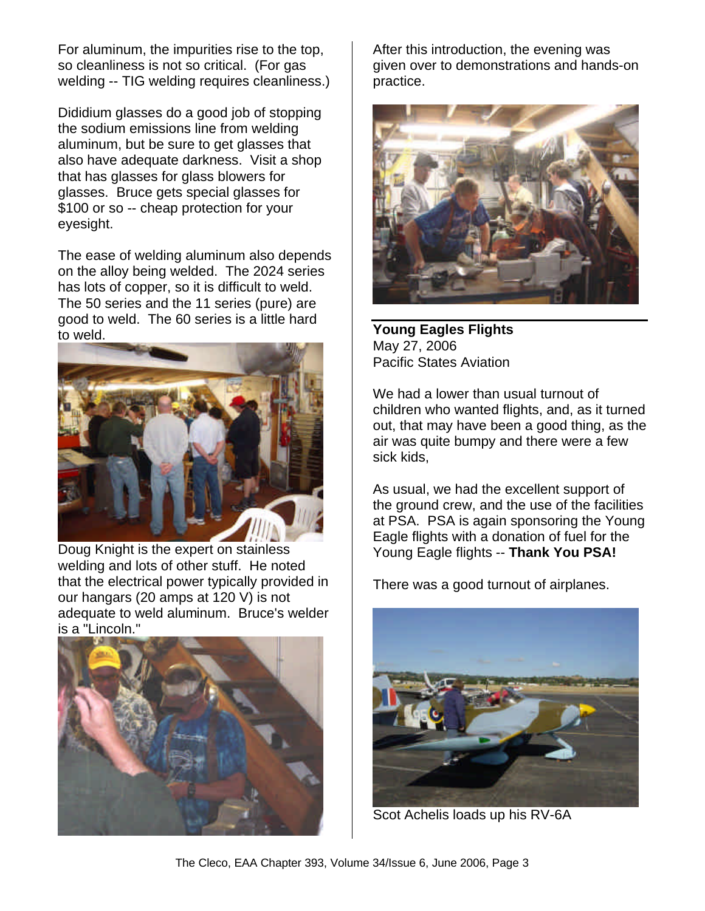For aluminum, the impurities rise to the top, so cleanliness is not so critical. (For gas welding -- TIG welding requires cleanliness.)

Dididium glasses do a good job of stopping the sodium emissions line from welding aluminum, but be sure to get glasses that also have adequate darkness. Visit a shop that has glasses for glass blowers for glasses. Bruce gets special glasses for \$100 or so -- cheap protection for your eyesight.

The ease of welding aluminum also depends on the alloy being welded. The 2024 series has lots of copper, so it is difficult to weld. The 50 series and the 11 series (pure) are good to weld. The 60 series is a little hard to weld.



Doug Knight is the expert on stainless welding and lots of other stuff. He noted that the electrical power typically provided in our hangars (20 amps at 120 V) is not adequate to weld aluminum. Bruce's welder is a "Lincoln."



After this introduction, the evening was given over to demonstrations and hands-on practice.



**Young Eagles Flights** May 27, 2006 Pacific States Aviation

We had a lower than usual turnout of children who wanted flights, and, as it turned out, that may have been a good thing, as the air was quite bumpy and there were a few sick kids,

As usual, we had the excellent support of the ground crew, and the use of the facilities at PSA. PSA is again sponsoring the Young Eagle flights with a donation of fuel for the Young Eagle flights -- **Thank You PSA!**

There was a good turnout of airplanes.



Scot Achelis loads up his RV-6A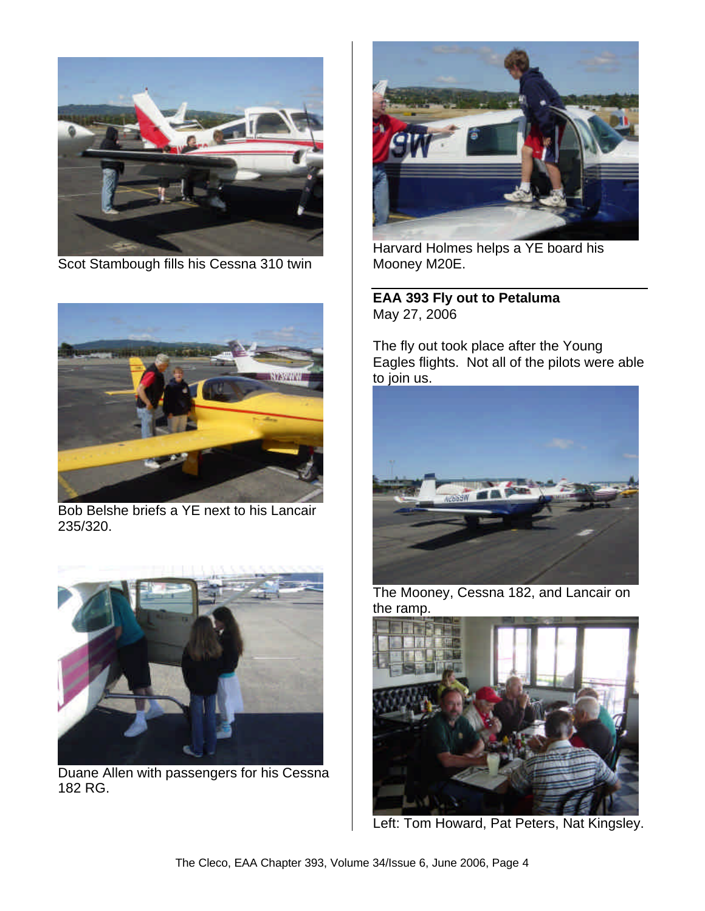

Scot Stambough fills his Cessna 310 twin



Bob Belshe briefs a YE next to his Lancair 235/320.



Duane Allen with passengers for his Cessna 182 RG.



Harvard Holmes helps a YE board his Mooney M20E.

**EAA 393 Fly out to Petaluma** May 27, 2006

The fly out took place after the Young Eagles flights. Not all of the pilots were able to join us.



The Mooney, Cessna 182, and Lancair on the ramp.



Left: Tom Howard, Pat Peters, Nat Kingsley.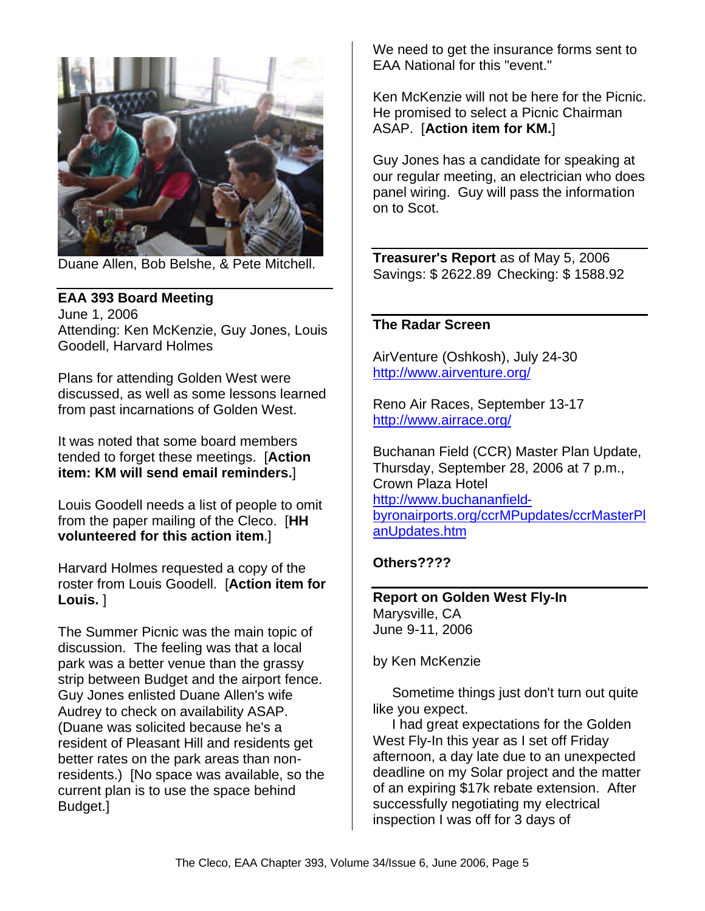

Duane Allen, Bob Belshe, & Pete Mitchell.

### **EAA 393 Board Meeting**

June 1, 2006 Attending: Ken McKenzie, Guy Jones, Louis Goodell, Harvard Holmes

Plans for attending Golden West were discussed, as well as some lessons learned from past incarnations of Golden West.

It was noted that some board members tended to forget these meetings. [**Action item: KM will send email reminders.**]

Louis Goodell needs a list of people to omit from the paper mailing of the Cleco. [**HH volunteered for this action item**.]

Harvard Holmes requested a copy of the roster from Louis Goodell. [**Action item for Louis.** ]

The Summer Picnic was the main topic of discussion. The feeling was that a local park was a better venue than the grassy strip between Budget and the airport fence. Guy Jones enlisted Duane Allen's wife Audrey to check on availability ASAP. (Duane was solicited because he's a resident of Pleasant Hill and residents get better rates on the park areas than nonresidents.) [No space was available, so the current plan is to use the space behind Budget.]

We need to get the insurance forms sent to EAA National for this "event."

Ken McKenzie will not be here for the Picnic. He promised to select a Picnic Chairman ASAP. [**Action item for KM.**]

Guy Jones has a candidate for speaking at our regular meeting, an electrician who does panel wiring. Guy will pass the information on to Scot.

**Treasurer's Report** as of May 5, 2006 Savings: \$ 2622.89 Checking: \$ 1588.92

## **The Radar Screen**

AirVenture (Oshkosh), July 24-30 http://www.airventure.org/

Reno Air Races, September 13-17 http://www.airrace.org/

Buchanan Field (CCR) Master Plan Update, Thursday, September 28, 2006 at 7 p.m., Crown Plaza Hotel http://www.buchananfieldbyronairports.org/ccrMPupdates/ccrMasterPl anUpdates.htm

#### **Others????**

**Report on Golden West Fly-In** Marysville, CA June 9-11, 2006

by Ken McKenzie

 Sometime things just don't turn out quite like you expect.

 I had great expectations for the Golden West Fly-In this year as I set off Friday afternoon, a day late due to an unexpected deadline on my Solar project and the matter of an expiring \$17k rebate extension. After successfully negotiating my electrical inspection I was off for 3 days of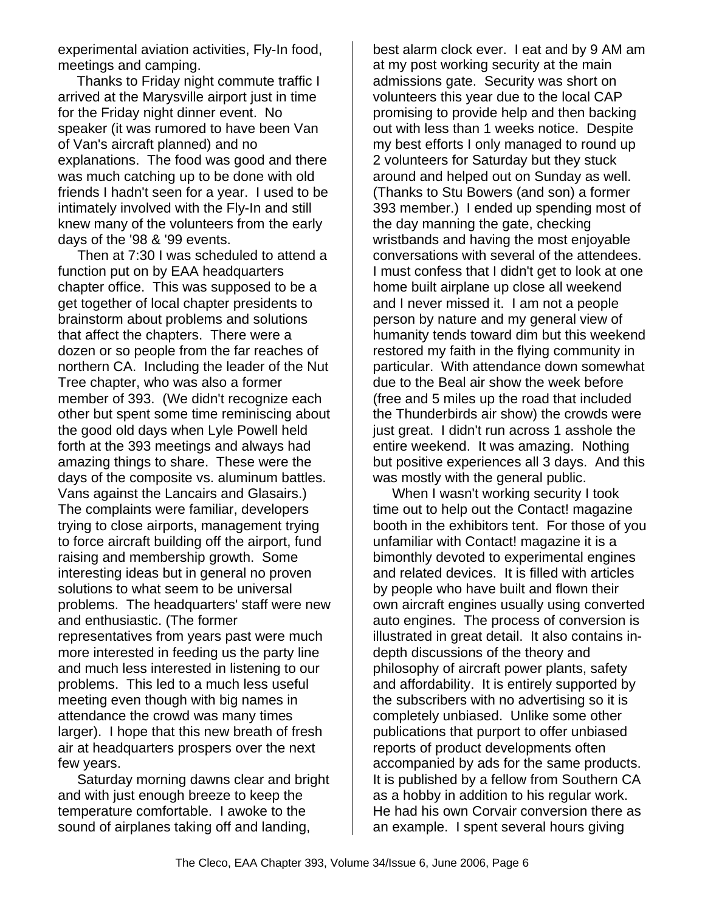experimental aviation activities, Fly-In food, meetings and camping.

 Thanks to Friday night commute traffic I arrived at the Marysville airport just in time for the Friday night dinner event. No speaker (it was rumored to have been Van of Van's aircraft planned) and no explanations. The food was good and there was much catching up to be done with old friends I hadn't seen for a year. I used to be intimately involved with the Fly-In and still knew many of the volunteers from the early days of the '98 & '99 events.

 Then at 7:30 I was scheduled to attend a function put on by EAA headquarters chapter office. This was supposed to be a get together of local chapter presidents to brainstorm about problems and solutions that affect the chapters. There were a dozen or so people from the far reaches of northern CA. Including the leader of the Nut Tree chapter, who was also a former member of 393. (We didn't recognize each other but spent some time reminiscing about the good old days when Lyle Powell held forth at the 393 meetings and always had amazing things to share. These were the days of the composite vs. aluminum battles. Vans against the Lancairs and Glasairs.) The complaints were familiar, developers trying to close airports, management trying to force aircraft building off the airport, fund raising and membership growth. Some interesting ideas but in general no proven solutions to what seem to be universal problems. The headquarters' staff were new and enthusiastic. (The former representatives from years past were much more interested in feeding us the party line and much less interested in listening to our problems. This led to a much less useful meeting even though with big names in attendance the crowd was many times larger). I hope that this new breath of fresh air at headquarters prospers over the next few years.

 Saturday morning dawns clear and bright and with just enough breeze to keep the temperature comfortable. I awoke to the sound of airplanes taking off and landing,

best alarm clock ever. I eat and by 9 AM am at my post working security at the main admissions gate. Security was short on volunteers this year due to the local CAP promising to provide help and then backing out with less than 1 weeks notice. Despite my best efforts I only managed to round up 2 volunteers for Saturday but they stuck around and helped out on Sunday as well. (Thanks to Stu Bowers (and son) a former 393 member.) I ended up spending most of the day manning the gate, checking wristbands and having the most enjoyable conversations with several of the attendees. I must confess that I didn't get to look at one home built airplane up close all weekend and I never missed it. I am not a people person by nature and my general view of humanity tends toward dim but this weekend restored my faith in the flying community in particular. With attendance down somewhat due to the Beal air show the week before (free and 5 miles up the road that included the Thunderbirds air show) the crowds were just great. I didn't run across 1 asshole the entire weekend. It was amazing. Nothing but positive experiences all 3 days. And this was mostly with the general public.

 When I wasn't working security I took time out to help out the Contact! magazine booth in the exhibitors tent. For those of you unfamiliar with Contact! magazine it is a bimonthly devoted to experimental engines and related devices. It is filled with articles by people who have built and flown their own aircraft engines usually using converted auto engines. The process of conversion is illustrated in great detail. It also contains indepth discussions of the theory and philosophy of aircraft power plants, safety and affordability. It is entirely supported by the subscribers with no advertising so it is completely unbiased. Unlike some other publications that purport to offer unbiased reports of product developments often accompanied by ads for the same products. It is published by a fellow from Southern CA as a hobby in addition to his regular work. He had his own Corvair conversion there as an example. I spent several hours giving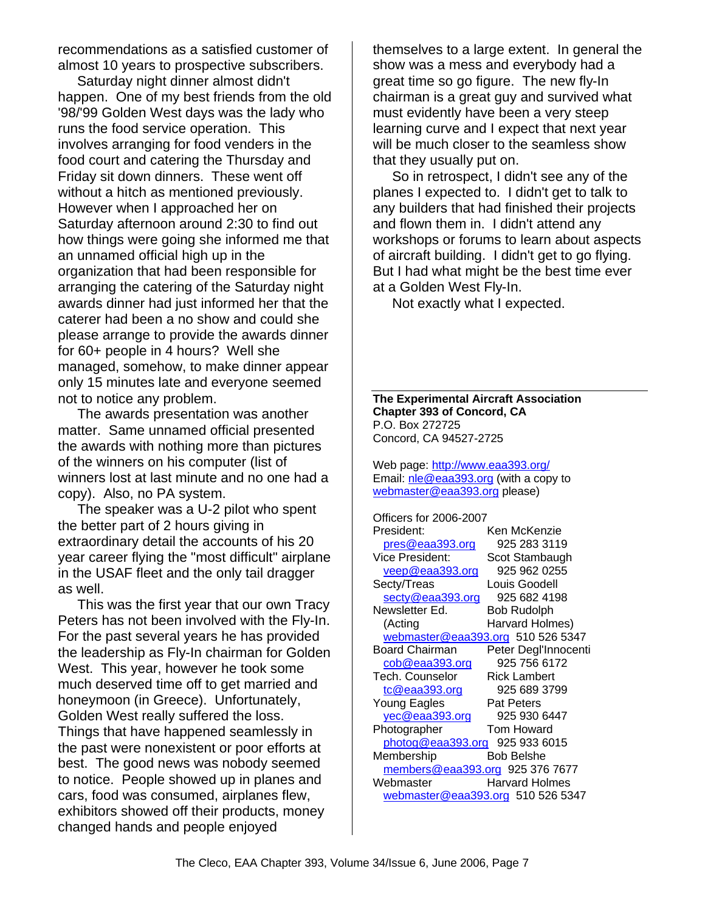recommendations as a satisfied customer of almost 10 years to prospective subscribers.

 Saturday night dinner almost didn't happen. One of my best friends from the old '98/'99 Golden West days was the lady who runs the food service operation. This involves arranging for food venders in the food court and catering the Thursday and Friday sit down dinners. These went off without a hitch as mentioned previously. However when I approached her on Saturday afternoon around 2:30 to find out how things were going she informed me that an unnamed official high up in the organization that had been responsible for arranging the catering of the Saturday night awards dinner had just informed her that the caterer had been a no show and could she please arrange to provide the awards dinner for 60+ people in 4 hours? Well she managed, somehow, to make dinner appear only 15 minutes late and everyone seemed not to notice any problem.

 The awards presentation was another matter. Same unnamed official presented the awards with nothing more than pictures of the winners on his computer (list of winners lost at last minute and no one had a copy). Also, no PA system.

 The speaker was a U-2 pilot who spent the better part of 2 hours giving in extraordinary detail the accounts of his 20 year career flying the "most difficult" airplane in the USAF fleet and the only tail dragger as well.

 This was the first year that our own Tracy Peters has not been involved with the Fly-In. For the past several years he has provided the leadership as Fly-In chairman for Golden West. This year, however he took some much deserved time off to get married and honeymoon (in Greece). Unfortunately, Golden West really suffered the loss. Things that have happened seamlessly in the past were nonexistent or poor efforts at best. The good news was nobody seemed to notice. People showed up in planes and cars, food was consumed, airplanes flew, exhibitors showed off their products, money changed hands and people enjoyed

themselves to a large extent. In general the show was a mess and everybody had a great time so go figure. The new fly-In chairman is a great guy and survived what must evidently have been a very steep learning curve and I expect that next year will be much closer to the seamless show that they usually put on.

 So in retrospect, I didn't see any of the planes I expected to. I didn't get to talk to any builders that had finished their projects and flown them in. I didn't attend any workshops or forums to learn about aspects of aircraft building. I didn't get to go flying. But I had what might be the best time ever at a Golden West Fly-In.

Not exactly what I expected.

**The Experimental Aircraft Association Chapter 393 of Concord, CA** P.O. Box 272725 Concord, CA 94527-2725

Web page: http://www.eaa393.org/ Email: nle@eaa393.org (with a copy to webmaster@eaa393.org please)

Officers for 2006-2007 President: Ken McKenzie pres@eaa393.org 925 283 3119 Vice President: Scot Stambaugh veep@eaa393.org 925 962 0255 Secty/Treas Louis Goodell secty@eaa393.org 925 682 4198 Newsletter Ed. Bob Rudolph (Acting Harvard Holmes) webmaster@eaa393.org 510 526 5347 Board Chairman Peter Degl'Innocenti cob@eaa393.org 925 756 6172 Tech. Counselor Rick Lambert tc@eaa393.org 925 689 3799 Young Eagles **Pat Peters** yec@eaa393.org 925 930 6447 Photographer Tom Howard photog@eaa393.org 925 933 6015 Membership Bob Belshe members@eaa393.org 925 376 7677 Webmaster **Harvard Holmes** webmaster@eaa393.org 510 526 5347